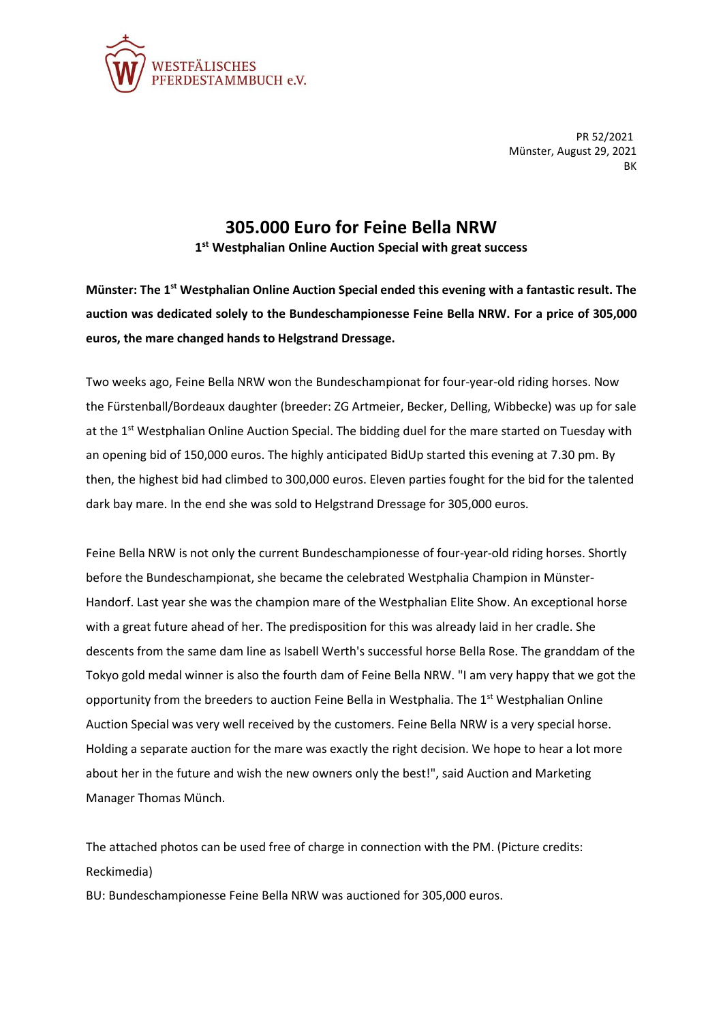

PR 52/2021 Münster, August 29, 2021 BK

## **305.000 Euro for Feine Bella NRW**

**1 st Westphalian Online Auction Special with great success**

**Münster: The 1st Westphalian Online Auction Special ended this evening with a fantastic result. The auction was dedicated solely to the Bundeschampionesse Feine Bella NRW. For a price of 305,000 euros, the mare changed hands to Helgstrand Dressage.**

Two weeks ago, Feine Bella NRW won the Bundeschampionat for four-year-old riding horses. Now the Fürstenball/Bordeaux daughter (breeder: ZG Artmeier, Becker, Delling, Wibbecke) was up for sale at the 1<sup>st</sup> Westphalian Online Auction Special. The bidding duel for the mare started on Tuesday with an opening bid of 150,000 euros. The highly anticipated BidUp started this evening at 7.30 pm. By then, the highest bid had climbed to 300,000 euros. Eleven parties fought for the bid for the talented dark bay mare. In the end she was sold to Helgstrand Dressage for 305,000 euros.

Feine Bella NRW is not only the current Bundeschampionesse of four-year-old riding horses. Shortly before the Bundeschampionat, she became the celebrated Westphalia Champion in Münster-Handorf. Last year she was the champion mare of the Westphalian Elite Show. An exceptional horse with a great future ahead of her. The predisposition for this was already laid in her cradle. She descents from the same dam line as Isabell Werth's successful horse Bella Rose. The granddam of the Tokyo gold medal winner is also the fourth dam of Feine Bella NRW. "I am very happy that we got the opportunity from the breeders to auction Feine Bella in Westphalia. The  $1<sup>st</sup>$  Westphalian Online Auction Special was very well received by the customers. Feine Bella NRW is a very special horse. Holding a separate auction for the mare was exactly the right decision. We hope to hear a lot more about her in the future and wish the new owners only the best!", said Auction and Marketing Manager Thomas Münch.

The attached photos can be used free of charge in connection with the PM. (Picture credits: Reckimedia)

BU: Bundeschampionesse Feine Bella NRW was auctioned for 305,000 euros.